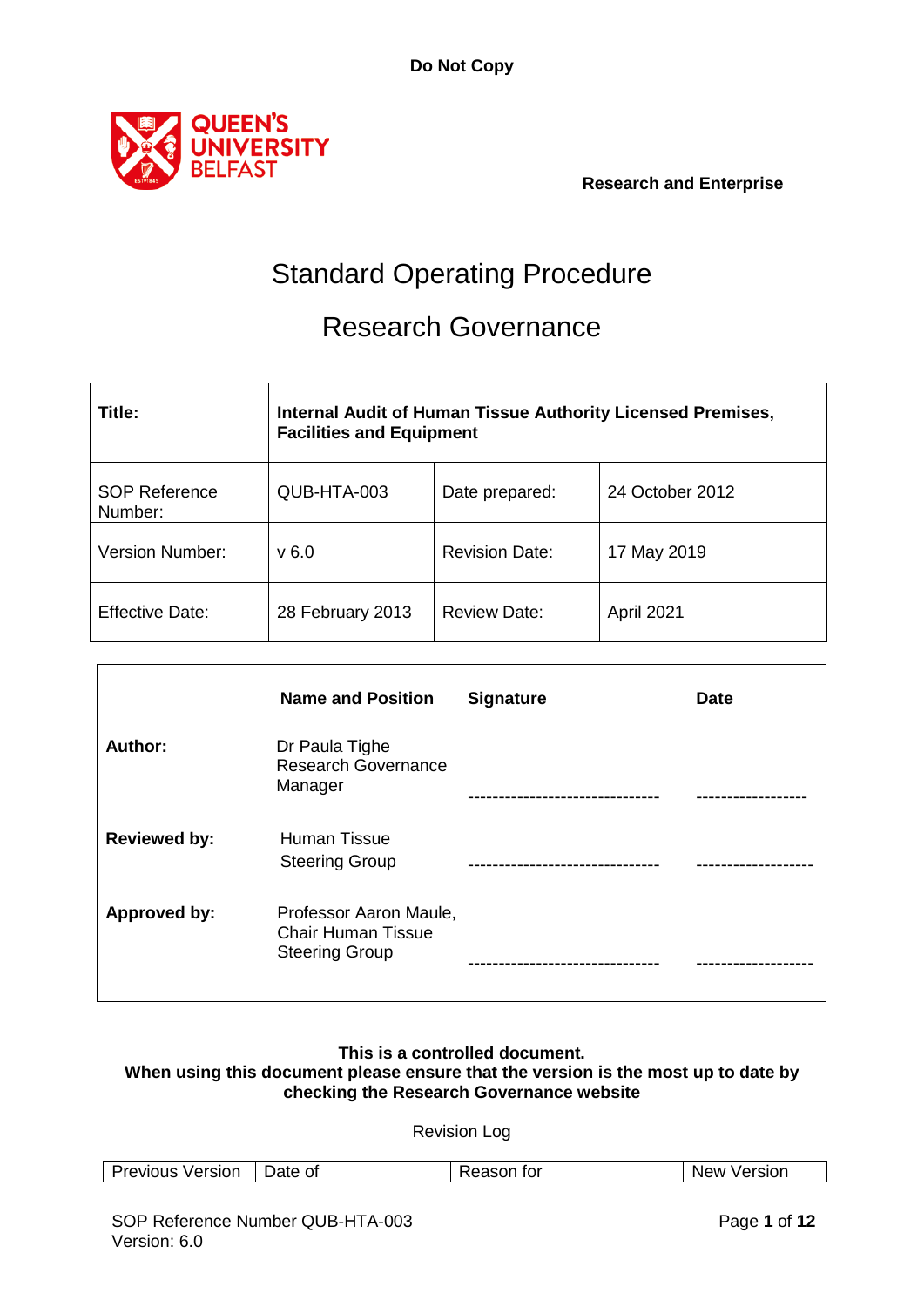

 **Research and Enterprise**

# Standard Operating Procedure

## Research Governance

| Title:                          | Internal Audit of Human Tissue Authority Licensed Premises,<br><b>Facilities and Equipment</b> |                       |                 |  |  |  |  |  |  |  |
|---------------------------------|------------------------------------------------------------------------------------------------|-----------------------|-----------------|--|--|--|--|--|--|--|
| <b>SOP Reference</b><br>Number: | QUB-HTA-003                                                                                    | Date prepared:        | 24 October 2012 |  |  |  |  |  |  |  |
| <b>Version Number:</b>          | v6.0                                                                                           | <b>Revision Date:</b> | 17 May 2019     |  |  |  |  |  |  |  |
| <b>Effective Date:</b>          | 28 February 2013                                                                               | <b>Review Date:</b>   | April 2021      |  |  |  |  |  |  |  |

|                     | <b>Name and Position</b>                                                     | <b>Signature</b> | <b>Date</b> |
|---------------------|------------------------------------------------------------------------------|------------------|-------------|
| Author:             | Dr Paula Tighe<br><b>Research Governance</b><br>Manager                      | --------------   |             |
| <b>Reviewed by:</b> | Human Tissue<br><b>Steering Group</b>                                        |                  |             |
| Approved by:        | Professor Aaron Maule,<br><b>Chair Human Tissue</b><br><b>Steering Group</b> |                  |             |

#### **This is a controlled document.**

#### **When using this document please ensure that the version is the most up to date by checking the Research Governance website**

Revision Log

| <b>Previous Version</b> | Jate of | เรon for<br>eason | Version<br>New |
|-------------------------|---------|-------------------|----------------|
|                         |         |                   |                |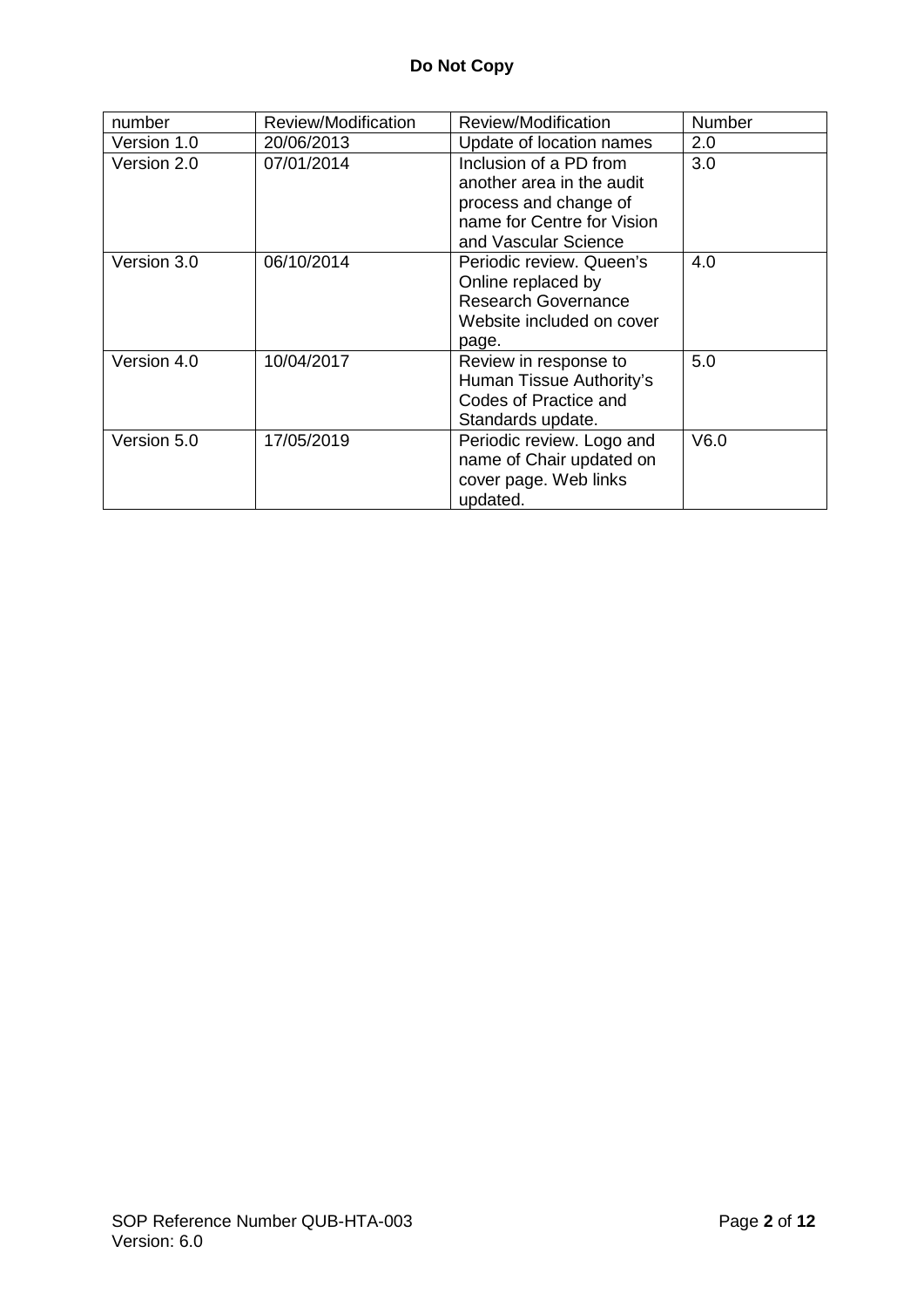| number      | Review/Modification | Review/Modification                                                                                                                | Number |
|-------------|---------------------|------------------------------------------------------------------------------------------------------------------------------------|--------|
| Version 1.0 | 20/06/2013          | Update of location names                                                                                                           | 2.0    |
| Version 2.0 | 07/01/2014          | Inclusion of a PD from<br>another area in the audit<br>process and change of<br>name for Centre for Vision<br>and Vascular Science | 3.0    |
| Version 3.0 | 06/10/2014          | Periodic review. Queen's<br>Online replaced by<br><b>Research Governance</b><br>Website included on cover<br>page.                 | 4.0    |
| Version 4.0 | 10/04/2017          | Review in response to<br>Human Tissue Authority's<br>Codes of Practice and<br>Standards update.                                    | 5.0    |
| Version 5.0 | 17/05/2019          | Periodic review. Logo and<br>name of Chair updated on<br>cover page. Web links<br>updated.                                         | V6.0   |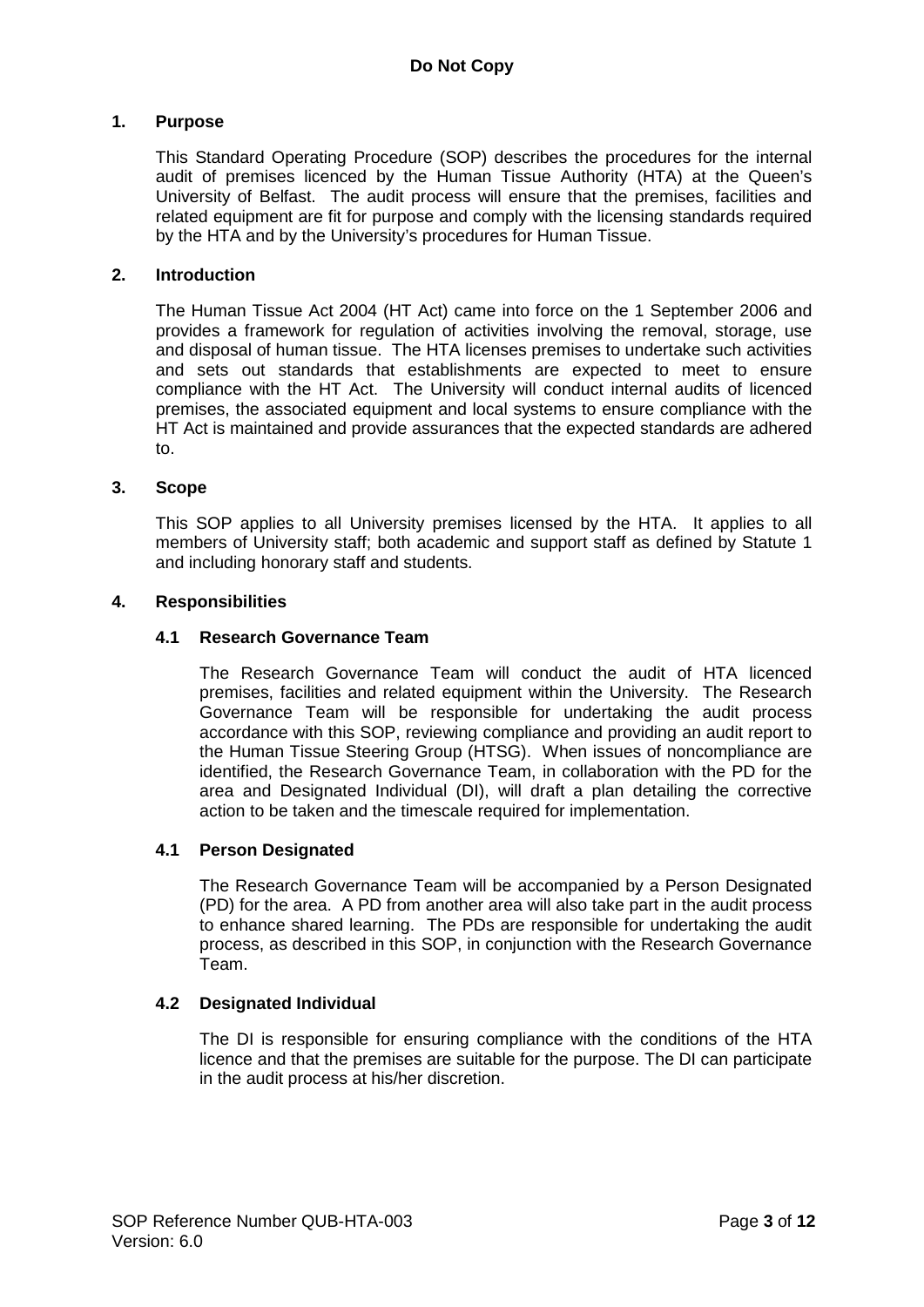#### **1. Purpose**

This Standard Operating Procedure (SOP) describes the procedures for the internal audit of premises licenced by the Human Tissue Authority (HTA) at the Queen's University of Belfast. The audit process will ensure that the premises, facilities and related equipment are fit for purpose and comply with the licensing standards required by the HTA and by the University's procedures for Human Tissue.

#### **2. Introduction**

The Human Tissue Act 2004 (HT Act) came into force on the 1 September 2006 and provides a framework for regulation of activities involving the removal, storage, use and disposal of human tissue. The HTA licenses premises to undertake such activities and sets out standards that establishments are expected to meet to ensure compliance with the HT Act. The University will conduct internal audits of licenced premises, the associated equipment and local systems to ensure compliance with the HT Act is maintained and provide assurances that the expected standards are adhered to.

#### **3. Scope**

This SOP applies to all University premises licensed by the HTA. It applies to all members of University staff; both academic and support staff as defined by Statute 1 and including honorary staff and students.

#### **4. Responsibilities**

#### **4.1 Research Governance Team**

The Research Governance Team will conduct the audit of HTA licenced premises, facilities and related equipment within the University. The Research Governance Team will be responsible for undertaking the audit process accordance with this SOP, reviewing compliance and providing an audit report to the Human Tissue Steering Group (HTSG). When issues of noncompliance are identified, the Research Governance Team, in collaboration with the PD for the area and Designated Individual (DI), will draft a plan detailing the corrective action to be taken and the timescale required for implementation.

#### **4.1 Person Designated**

The Research Governance Team will be accompanied by a Person Designated (PD) for the area. A PD from another area will also take part in the audit process to enhance shared learning. The PDs are responsible for undertaking the audit process, as described in this SOP, in conjunction with the Research Governance Team.

#### **4.2 Designated Individual**

The DI is responsible for ensuring compliance with the conditions of the HTA licence and that the premises are suitable for the purpose. The DI can participate in the audit process at his/her discretion.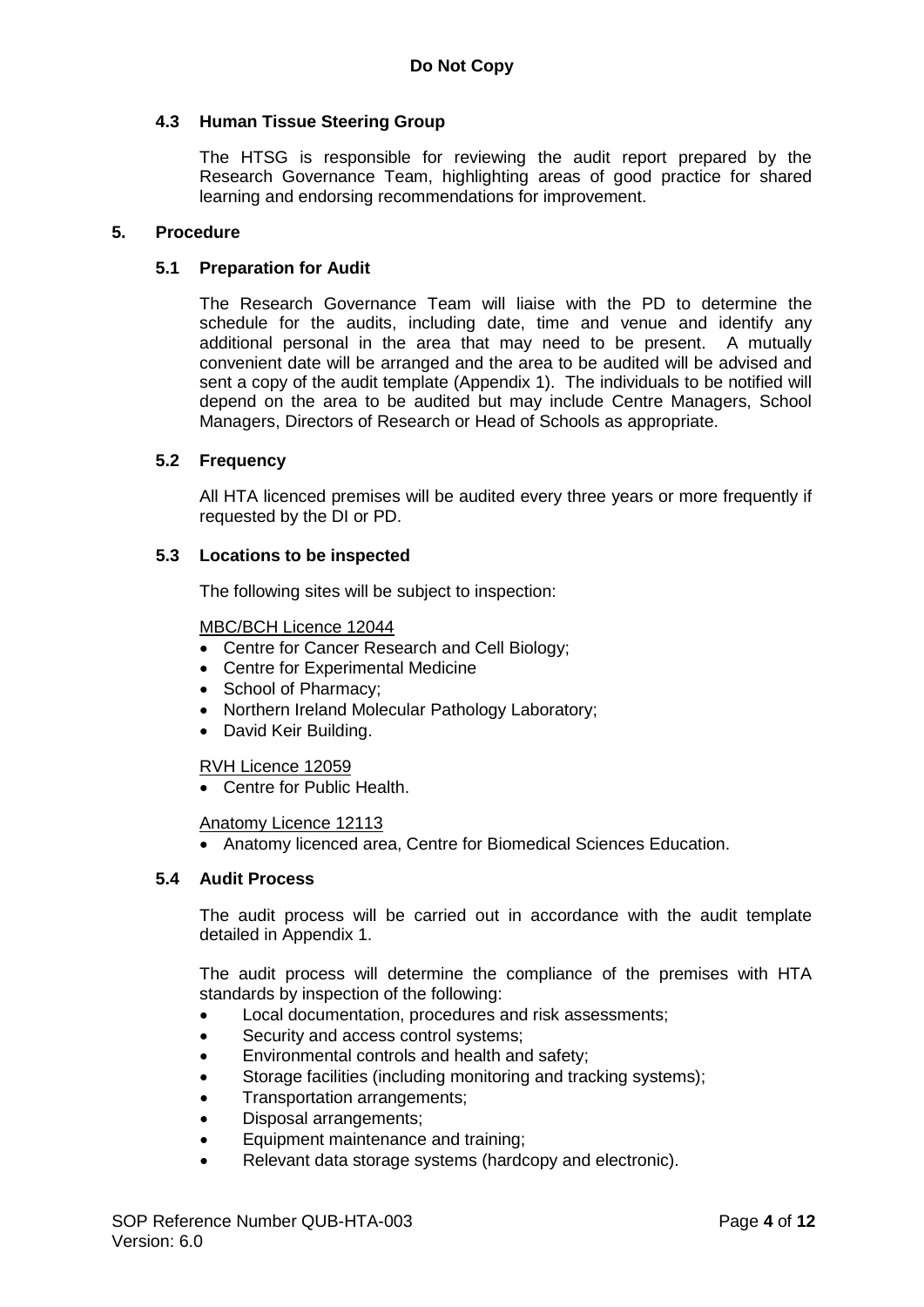#### **4.3 Human Tissue Steering Group**

The HTSG is responsible for reviewing the audit report prepared by the Research Governance Team, highlighting areas of good practice for shared learning and endorsing recommendations for improvement.

#### **5. Procedure**

#### **5.1 Preparation for Audit**

The Research Governance Team will liaise with the PD to determine the schedule for the audits, including date, time and venue and identify any additional personal in the area that may need to be present. A mutually convenient date will be arranged and the area to be audited will be advised and sent a copy of the audit template (Appendix 1). The individuals to be notified will depend on the area to be audited but may include Centre Managers, School Managers, Directors of Research or Head of Schools as appropriate.

#### **5.2 Frequency**

All HTA licenced premises will be audited every three years or more frequently if requested by the DI or PD.

#### **5.3 Locations to be inspected**

The following sites will be subject to inspection:

#### MBC/BCH Licence 12044

- Centre for Cancer Research and Cell Biology;
- Centre for Experimental Medicine
- School of Pharmacy:
- Northern Ireland Molecular Pathology Laboratory:
- David Keir Building.

#### RVH Licence 12059

• Centre for Public Health.

#### Anatomy Licence 12113

• Anatomy licenced area, Centre for Biomedical Sciences Education.

#### **5.4 Audit Process**

The audit process will be carried out in accordance with the audit template detailed in Appendix 1.

The audit process will determine the compliance of the premises with HTA standards by inspection of the following:

- Local documentation, procedures and risk assessments;
- Security and access control systems;
- Environmental controls and health and safety;
- Storage facilities (including monitoring and tracking systems);
- **Transportation arrangements:**
- Disposal arrangements;
- Equipment maintenance and training;
- Relevant data storage systems (hardcopy and electronic).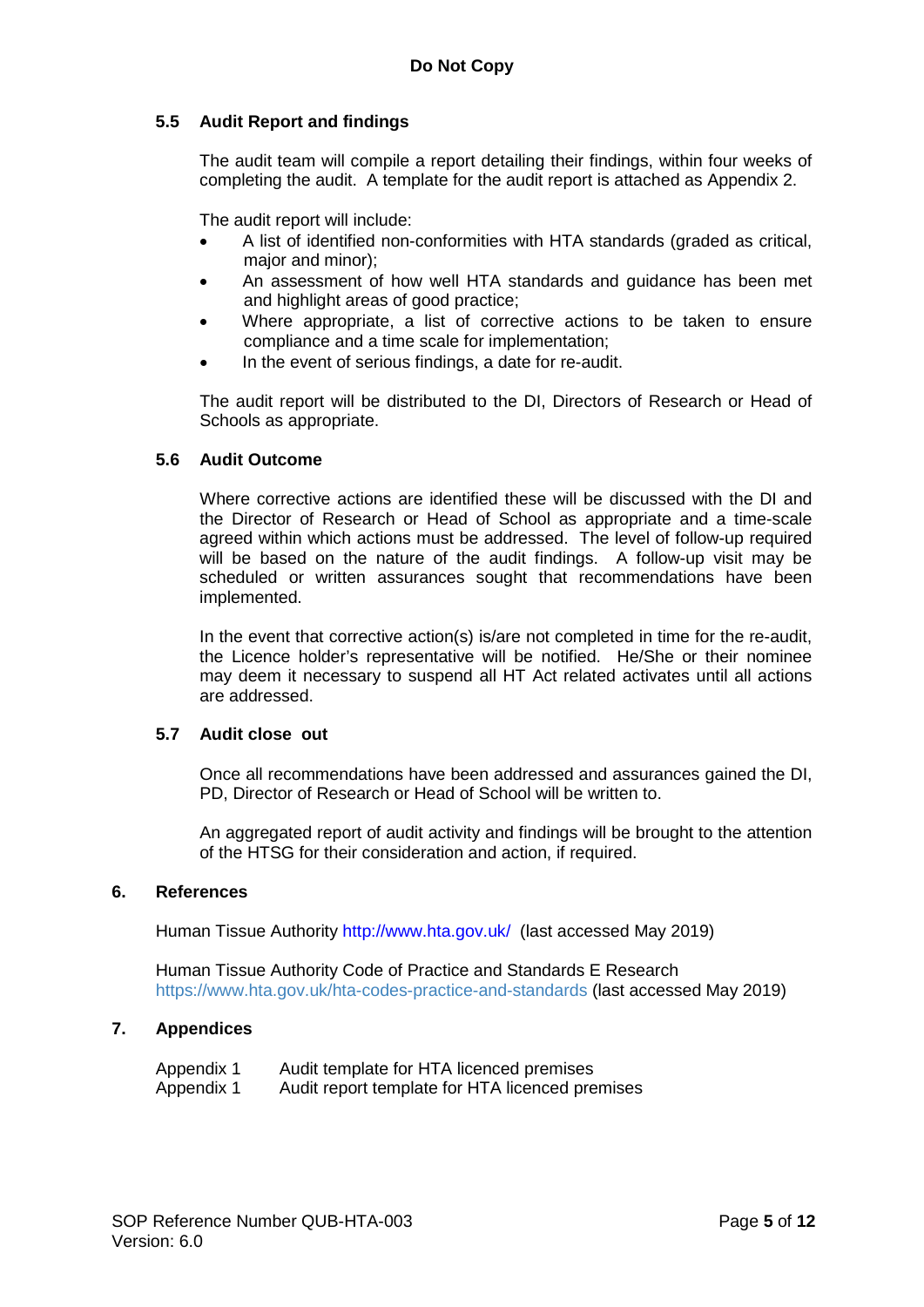#### **5.5 Audit Report and findings**

The audit team will compile a report detailing their findings, within four weeks of completing the audit. A template for the audit report is attached as Appendix 2.

The audit report will include:

- A list of identified non-conformities with HTA standards (graded as critical, major and minor);
- An assessment of how well HTA standards and guidance has been met and highlight areas of good practice;
- Where appropriate, a list of corrective actions to be taken to ensure compliance and a time scale for implementation;
- In the event of serious findings, a date for re-audit.

The audit report will be distributed to the DI, Directors of Research or Head of Schools as appropriate.

#### **5.6 Audit Outcome**

Where corrective actions are identified these will be discussed with the DI and the Director of Research or Head of School as appropriate and a time-scale agreed within which actions must be addressed. The level of follow-up required will be based on the nature of the audit findings. A follow-up visit may be scheduled or written assurances sought that recommendations have been implemented.

In the event that corrective action(s) is/are not completed in time for the re-audit, the Licence holder's representative will be notified. He/She or their nominee may deem it necessary to suspend all HT Act related activates until all actions are addressed.

#### **5.7 Audit close out**

Once all recommendations have been addressed and assurances gained the DI, PD, Director of Research or Head of School will be written to.

An aggregated report of audit activity and findings will be brought to the attention of the HTSG for their consideration and action, if required.

#### **6. References**

Human Tissue Authority<http://www.hta.gov.uk/> (last accessed May 2019)

Human Tissue Authority Code of Practice and Standards E Research <https://www.hta.gov.uk/hta-codes-practice-and-standards> (last accessed May 2019)

#### **7. Appendices**

| Appendix 1 | Audit template for HTA licenced premises        |
|------------|-------------------------------------------------|
| Appendix 1 | Audit report template for HTA licenced premises |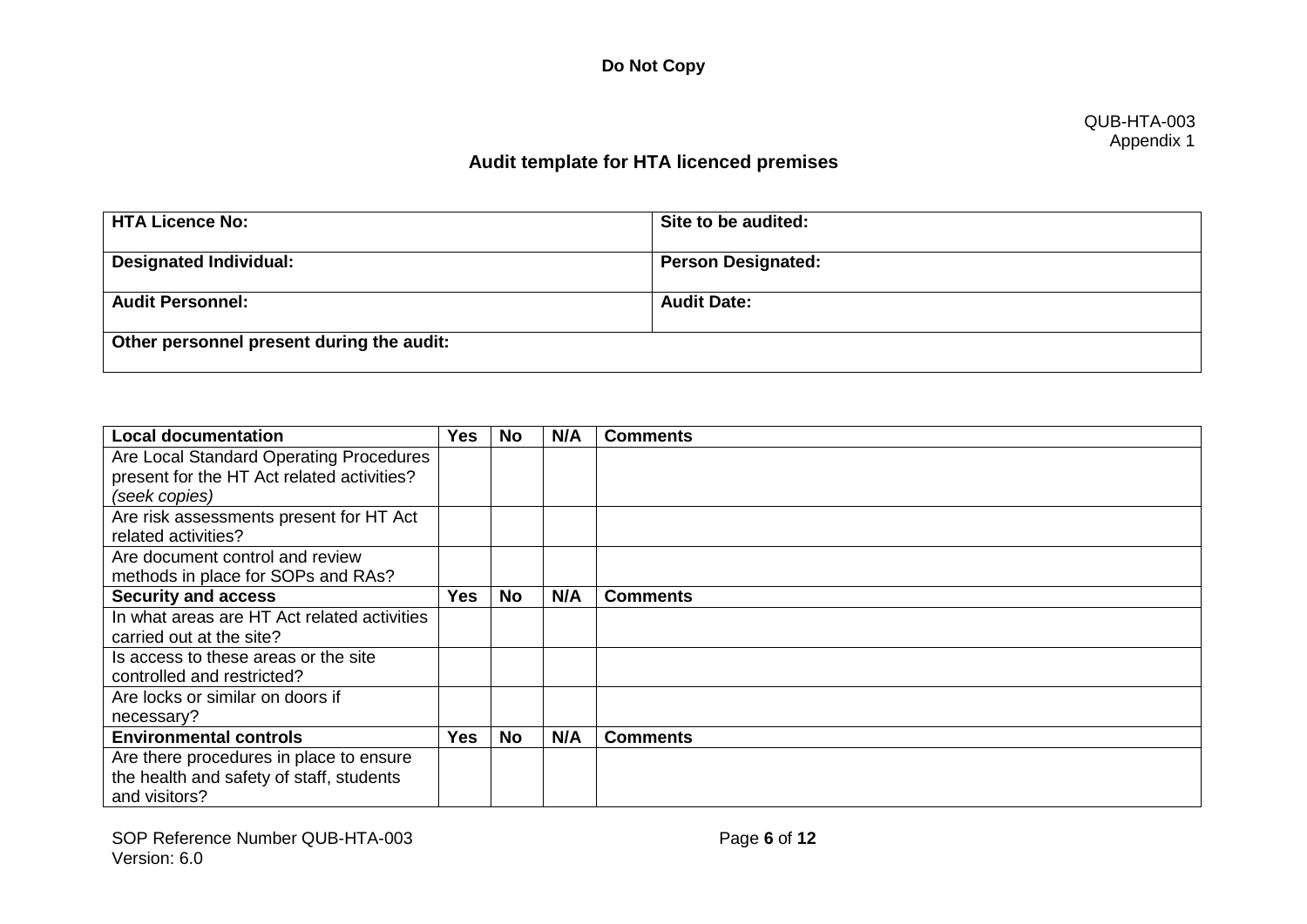## **Audit template for HTA licenced premises**

| <b>HTA Licence No:</b>                    | Site to be audited:       |
|-------------------------------------------|---------------------------|
| <b>Designated Individual:</b>             | <b>Person Designated:</b> |
| <b>Audit Personnel:</b>                   | <b>Audit Date:</b>        |
| Other personnel present during the audit: |                           |

| <b>Local documentation</b>                  | Yes.       | No        | N/A | <b>Comments</b> |
|---------------------------------------------|------------|-----------|-----|-----------------|
| Are Local Standard Operating Procedures     |            |           |     |                 |
| present for the HT Act related activities?  |            |           |     |                 |
| (seek copies)                               |            |           |     |                 |
| Are risk assessments present for HT Act     |            |           |     |                 |
| related activities?                         |            |           |     |                 |
| Are document control and review             |            |           |     |                 |
| methods in place for SOPs and RAs?          |            |           |     |                 |
| <b>Security and access</b>                  | <b>Yes</b> | <b>No</b> | N/A | <b>Comments</b> |
| In what areas are HT Act related activities |            |           |     |                 |
| carried out at the site?                    |            |           |     |                 |
| Is access to these areas or the site        |            |           |     |                 |
| controlled and restricted?                  |            |           |     |                 |
| Are locks or similar on doors if            |            |           |     |                 |
| necessary?                                  |            |           |     |                 |
| <b>Environmental controls</b>               | <b>Yes</b> | No        | N/A | <b>Comments</b> |
| Are there procedures in place to ensure     |            |           |     |                 |
| the health and safety of staff, students    |            |           |     |                 |
| and visitors?                               |            |           |     |                 |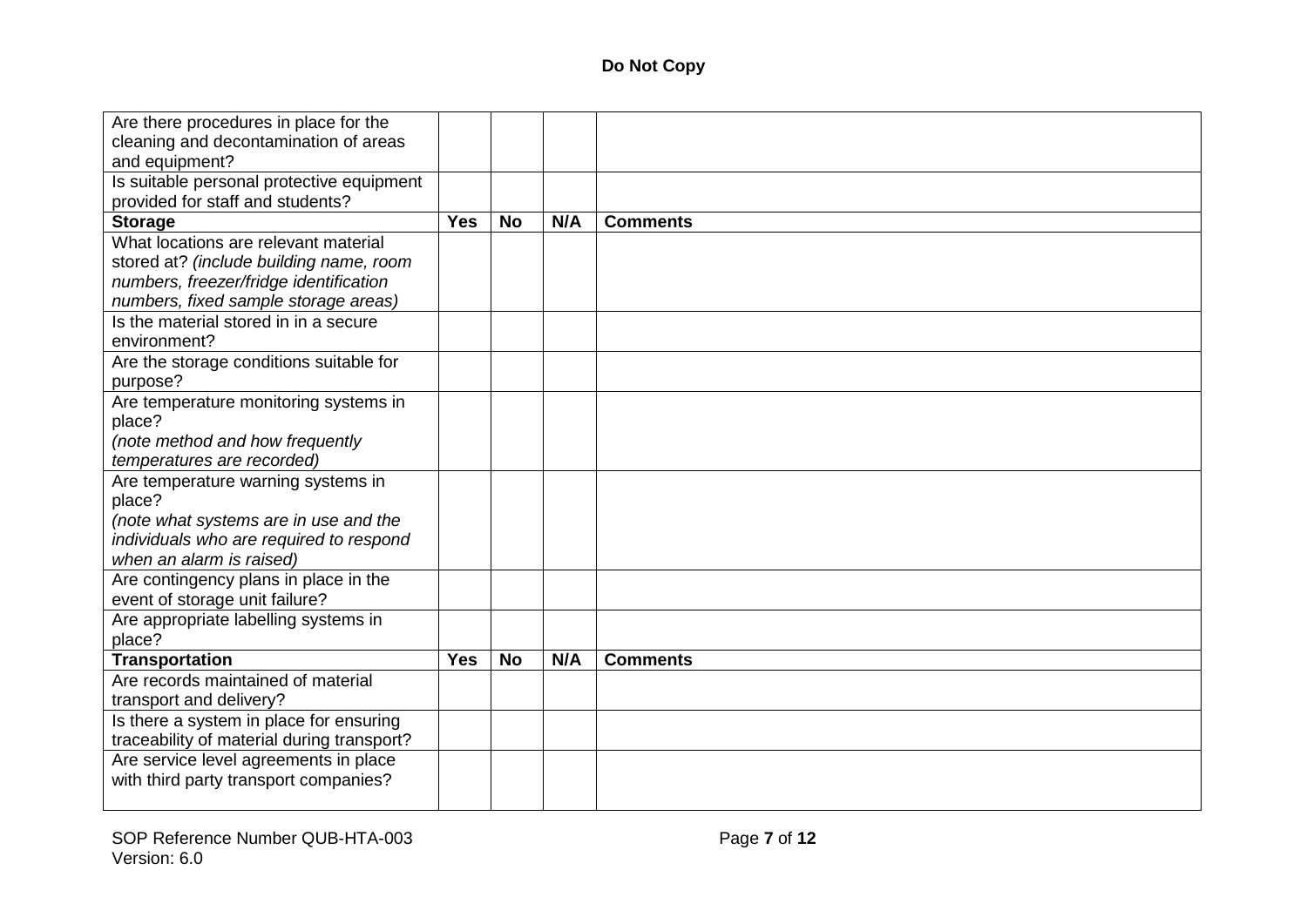| Are there procedures in place for the                   |            |           |     |                 |
|---------------------------------------------------------|------------|-----------|-----|-----------------|
| cleaning and decontamination of areas<br>and equipment? |            |           |     |                 |
| Is suitable personal protective equipment               |            |           |     |                 |
| provided for staff and students?                        |            |           |     |                 |
| <b>Storage</b>                                          | <b>Yes</b> | <b>No</b> | N/A | <b>Comments</b> |
| What locations are relevant material                    |            |           |     |                 |
| stored at? (include building name, room                 |            |           |     |                 |
| numbers, freezer/fridge identification                  |            |           |     |                 |
| numbers, fixed sample storage areas)                    |            |           |     |                 |
| Is the material stored in in a secure                   |            |           |     |                 |
| environment?                                            |            |           |     |                 |
| Are the storage conditions suitable for                 |            |           |     |                 |
| purpose?                                                |            |           |     |                 |
| Are temperature monitoring systems in                   |            |           |     |                 |
| place?                                                  |            |           |     |                 |
| (note method and how frequently                         |            |           |     |                 |
| temperatures are recorded)                              |            |           |     |                 |
| Are temperature warning systems in                      |            |           |     |                 |
| place?                                                  |            |           |     |                 |
| (note what systems are in use and the                   |            |           |     |                 |
| individuals who are required to respond                 |            |           |     |                 |
| when an alarm is raised)                                |            |           |     |                 |
| Are contingency plans in place in the                   |            |           |     |                 |
| event of storage unit failure?                          |            |           |     |                 |
| Are appropriate labelling systems in<br>place?          |            |           |     |                 |
| <b>Transportation</b>                                   | <b>Yes</b> | <b>No</b> | N/A | <b>Comments</b> |
| Are records maintained of material                      |            |           |     |                 |
| transport and delivery?                                 |            |           |     |                 |
| Is there a system in place for ensuring                 |            |           |     |                 |
| traceability of material during transport?              |            |           |     |                 |
| Are service level agreements in place                   |            |           |     |                 |
| with third party transport companies?                   |            |           |     |                 |
|                                                         |            |           |     |                 |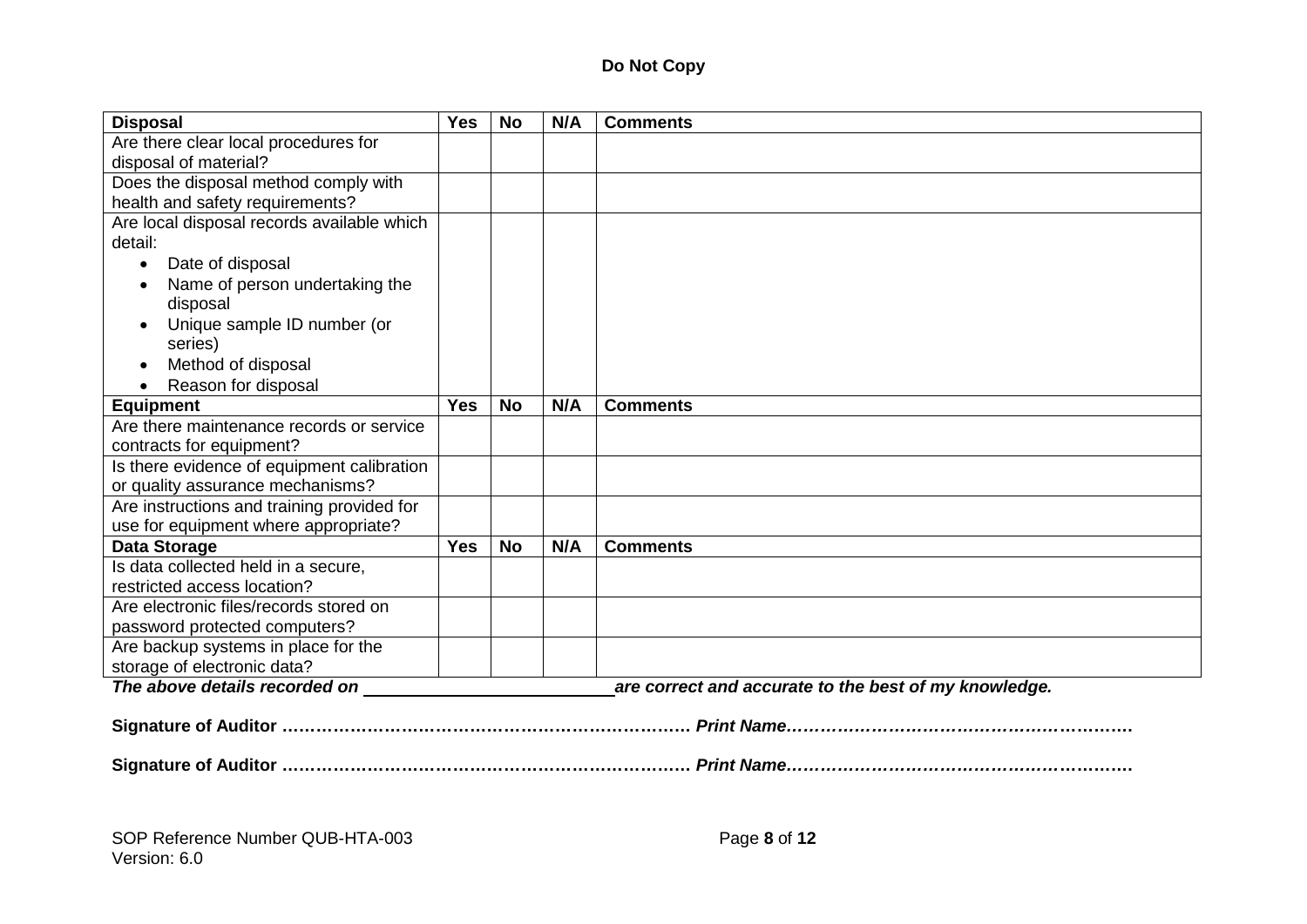| <b>Disposal</b>                                                                        | <b>Yes</b> | <b>No</b> | N/A | <b>Comments</b> |
|----------------------------------------------------------------------------------------|------------|-----------|-----|-----------------|
| Are there clear local procedures for                                                   |            |           |     |                 |
| disposal of material?                                                                  |            |           |     |                 |
| Does the disposal method comply with                                                   |            |           |     |                 |
| health and safety requirements?                                                        |            |           |     |                 |
| Are local disposal records available which                                             |            |           |     |                 |
| detail:                                                                                |            |           |     |                 |
| Date of disposal                                                                       |            |           |     |                 |
| Name of person undertaking the                                                         |            |           |     |                 |
| disposal                                                                               |            |           |     |                 |
| Unique sample ID number (or                                                            |            |           |     |                 |
| series)                                                                                |            |           |     |                 |
| Method of disposal                                                                     |            |           |     |                 |
| Reason for disposal                                                                    |            |           |     |                 |
| <b>Equipment</b>                                                                       | <b>Yes</b> | <b>No</b> | N/A | <b>Comments</b> |
| Are there maintenance records or service                                               |            |           |     |                 |
| contracts for equipment?                                                               |            |           |     |                 |
| Is there evidence of equipment calibration                                             |            |           |     |                 |
| or quality assurance mechanisms?                                                       |            |           |     |                 |
| Are instructions and training provided for                                             |            |           |     |                 |
| use for equipment where appropriate?                                                   |            |           |     |                 |
| <b>Data Storage</b>                                                                    | <b>Yes</b> | <b>No</b> | N/A | <b>Comments</b> |
| Is data collected held in a secure,                                                    |            |           |     |                 |
| restricted access location?                                                            |            |           |     |                 |
| Are electronic files/records stored on                                                 |            |           |     |                 |
| password protected computers?                                                          |            |           |     |                 |
| Are backup systems in place for the                                                    |            |           |     |                 |
| storage of electronic data?                                                            |            |           |     |                 |
| The above details recorded on<br>are correct and accurate to the best of my knowledge. |            |           |     |                 |
|                                                                                        |            |           |     |                 |
|                                                                                        |            |           |     |                 |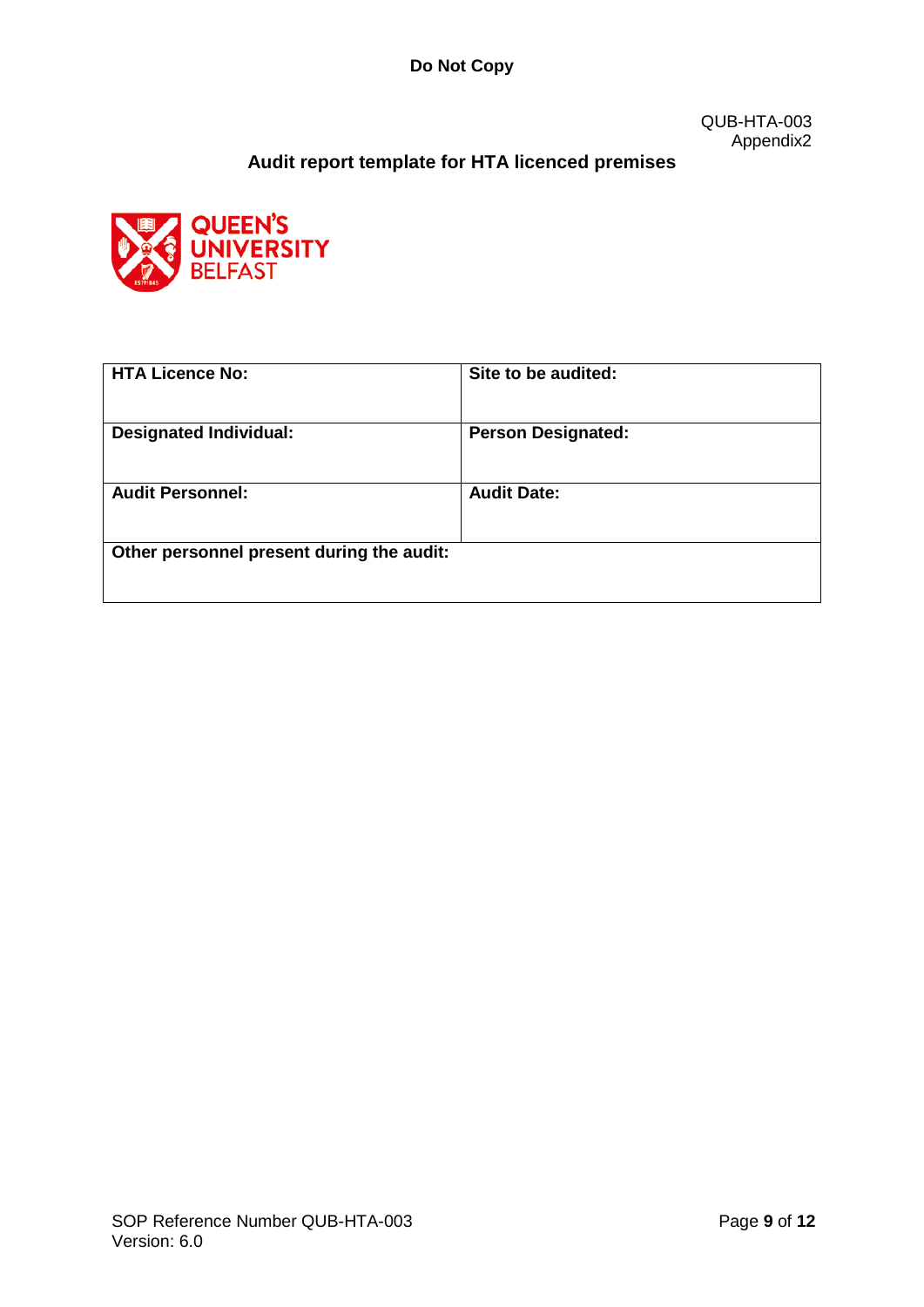**Do Not Copy**

QUB-HTA-003 Appendix2

### **Audit report template for HTA licenced premises**



| <b>HTA Licence No:</b>                    | Site to be audited:       |
|-------------------------------------------|---------------------------|
| <b>Designated Individual:</b>             | <b>Person Designated:</b> |
| <b>Audit Personnel:</b>                   | <b>Audit Date:</b>        |
| Other personnel present during the audit: |                           |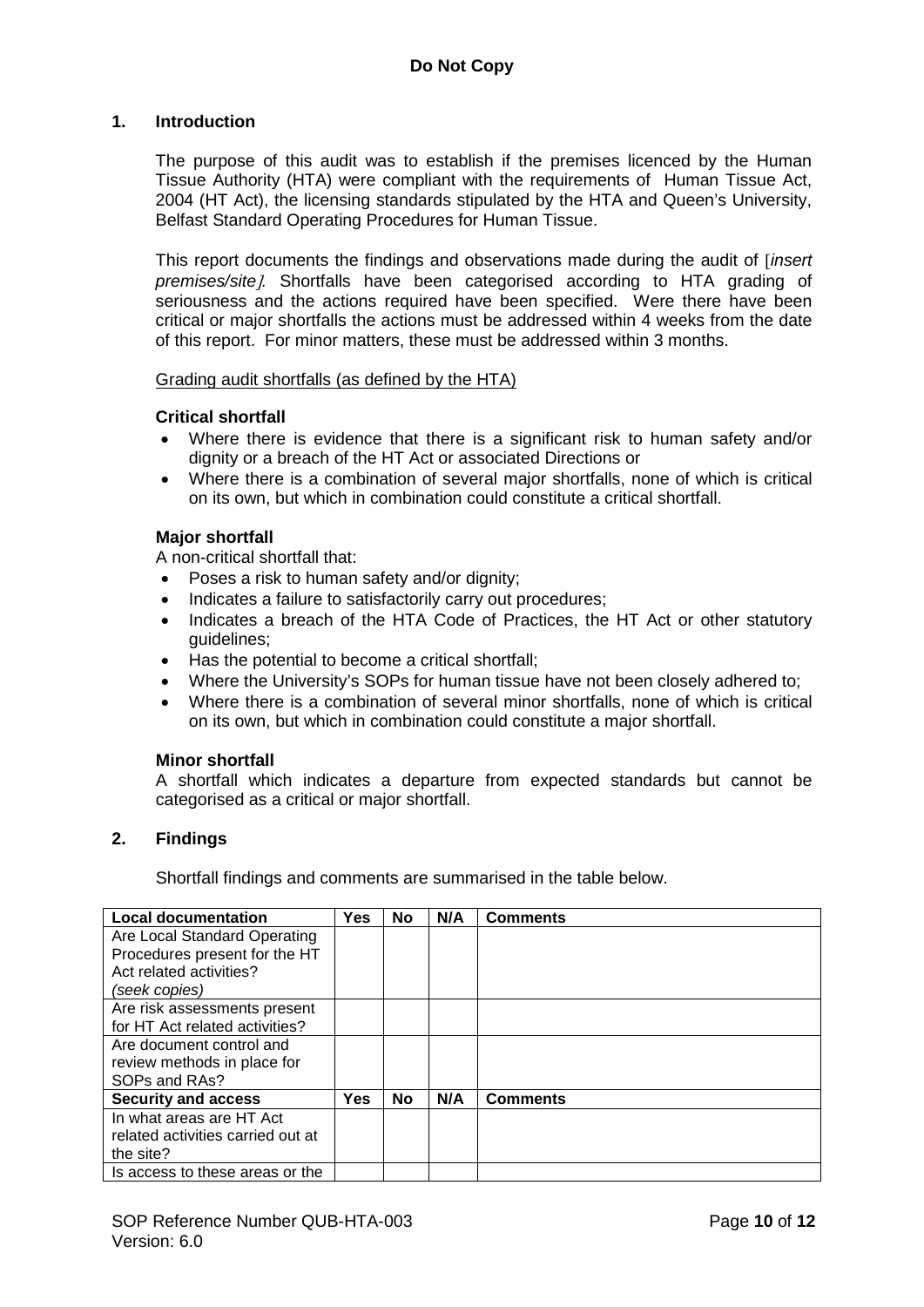#### **1. Introduction**

The purpose of this audit was to establish if the premises licenced by the Human Tissue Authority (HTA) were compliant with the requirements of Human Tissue Act, 2004 (HT Act), the licensing standards stipulated by the HTA and Queen's University, Belfast Standard Operating Procedures for Human Tissue.

This report documents the findings and observations made during the audit of [*insert premises/site*]*.* Shortfalls have been categorised according to HTA grading of seriousness and the actions required have been specified. Were there have been critical or major shortfalls the actions must be addressed within 4 weeks from the date of this report. For minor matters, these must be addressed within 3 months.

#### Grading audit shortfalls (as defined by the HTA)

#### **Critical shortfall**

- Where there is evidence that there is a significant risk to human safety and/or dignity or a breach of the HT Act or associated Directions or
- Where there is a combination of several major shortfalls, none of which is critical on its own, but which in combination could constitute a critical shortfall.

#### **Major shortfall**

A non-critical shortfall that:

- Poses a risk to human safety and/or dignity;
- Indicates a failure to satisfactorily carry out procedures;
- Indicates a breach of the HTA Code of Practices, the HT Act or other statutory guidelines;
- Has the potential to become a critical shortfall;
- Where the University's SOPs for human tissue have not been closely adhered to;
- Where there is a combination of several minor shortfalls, none of which is critical on its own, but which in combination could constitute a major shortfall.

#### **Minor shortfall**

A shortfall which indicates a departure from expected standards but cannot be categorised as a critical or major shortfall.

#### **2. Findings**

Shortfall findings and comments are summarised in the table below.

| <b>Local documentation</b>        | Yes | No        | N/A | <b>Comments</b> |
|-----------------------------------|-----|-----------|-----|-----------------|
| Are Local Standard Operating      |     |           |     |                 |
| Procedures present for the HT     |     |           |     |                 |
| Act related activities?           |     |           |     |                 |
| (seek copies)                     |     |           |     |                 |
| Are risk assessments present      |     |           |     |                 |
| for HT Act related activities?    |     |           |     |                 |
| Are document control and          |     |           |     |                 |
| review methods in place for       |     |           |     |                 |
| SOPs and RAs?                     |     |           |     |                 |
| <b>Security and access</b>        | Yes | <b>No</b> | N/A | <b>Comments</b> |
| In what areas are HT Act          |     |           |     |                 |
| related activities carried out at |     |           |     |                 |
| the site?                         |     |           |     |                 |
| Is access to these areas or the   |     |           |     |                 |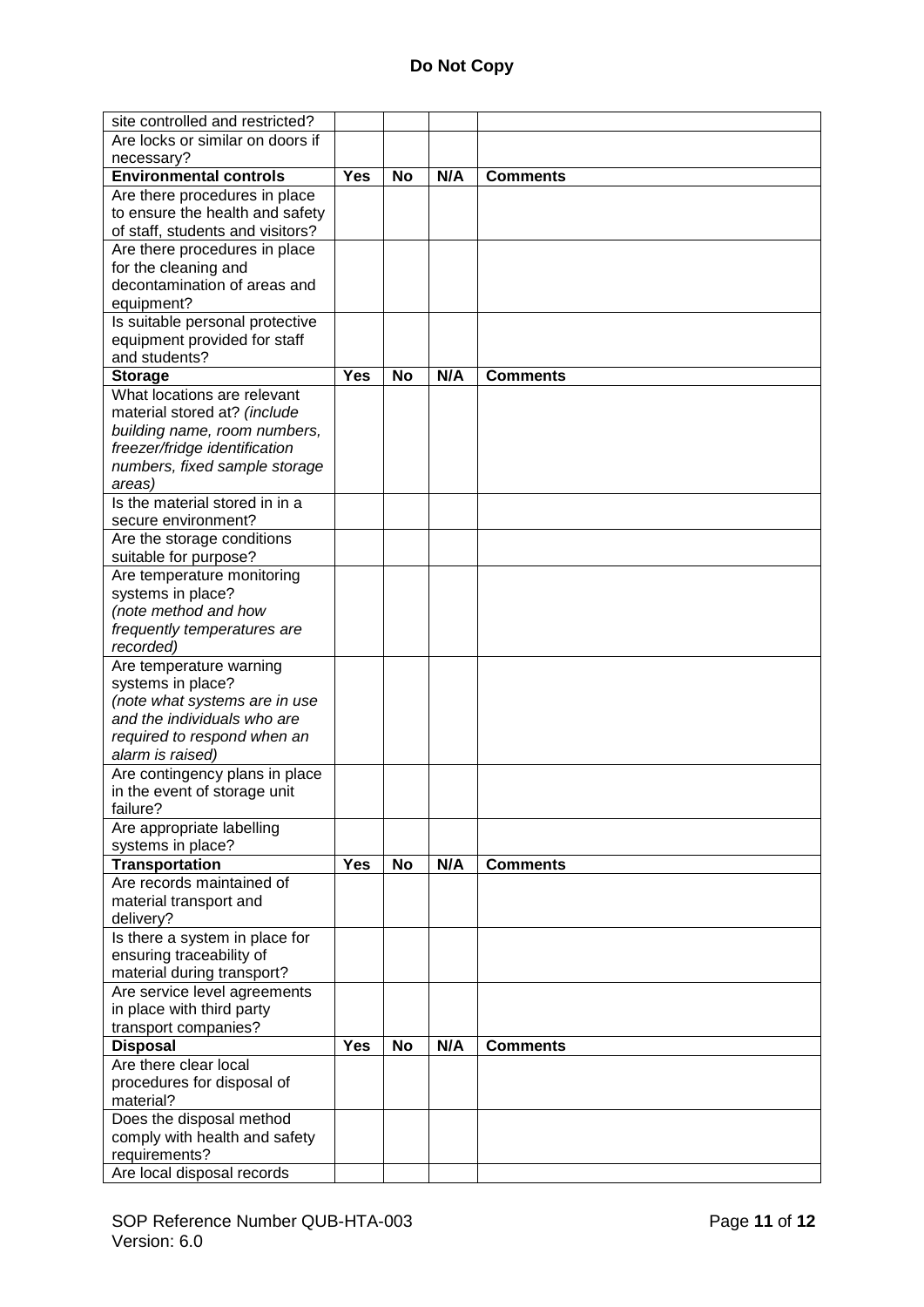| site controlled and restricted?            |            |           |     |                 |
|--------------------------------------------|------------|-----------|-----|-----------------|
| Are locks or similar on doors if           |            |           |     |                 |
| necessary?                                 |            |           |     |                 |
| <b>Environmental controls</b>              | <b>Yes</b> | <b>No</b> | N/A | <b>Comments</b> |
| Are there procedures in place              |            |           |     |                 |
| to ensure the health and safety            |            |           |     |                 |
| of staff, students and visitors?           |            |           |     |                 |
| Are there procedures in place              |            |           |     |                 |
| for the cleaning and                       |            |           |     |                 |
| decontamination of areas and               |            |           |     |                 |
| equipment?                                 |            |           |     |                 |
| Is suitable personal protective            |            |           |     |                 |
| equipment provided for staff               |            |           |     |                 |
| and students?                              |            |           |     |                 |
| <b>Storage</b>                             | Yes        | <b>No</b> | N/A | <b>Comments</b> |
| What locations are relevant                |            |           |     |                 |
|                                            |            |           |     |                 |
| material stored at? (include               |            |           |     |                 |
| building name, room numbers,               |            |           |     |                 |
| freezer/fridge identification              |            |           |     |                 |
| numbers, fixed sample storage              |            |           |     |                 |
| areas)                                     |            |           |     |                 |
| Is the material stored in in a             |            |           |     |                 |
| secure environment?                        |            |           |     |                 |
| Are the storage conditions                 |            |           |     |                 |
| suitable for purpose?                      |            |           |     |                 |
| Are temperature monitoring                 |            |           |     |                 |
| systems in place?                          |            |           |     |                 |
| (note method and how                       |            |           |     |                 |
| frequently temperatures are                |            |           |     |                 |
| recorded)                                  |            |           |     |                 |
| Are temperature warning                    |            |           |     |                 |
| systems in place?                          |            |           |     |                 |
| (note what systems are in use              |            |           |     |                 |
| and the individuals who are                |            |           |     |                 |
| required to respond when an                |            |           |     |                 |
| alarm is raised)                           |            |           |     |                 |
| Are contingency plans in place             |            |           |     |                 |
| in the event of storage unit               |            |           |     |                 |
| failure?                                   |            |           |     |                 |
| Are appropriate labelling                  |            |           |     |                 |
| systems in place?<br><b>Transportation</b> | <b>Yes</b> | <b>No</b> | N/A |                 |
| Are records maintained of                  |            |           |     | <b>Comments</b> |
| material transport and                     |            |           |     |                 |
| delivery?                                  |            |           |     |                 |
| Is there a system in place for             |            |           |     |                 |
| ensuring traceability of                   |            |           |     |                 |
| material during transport?                 |            |           |     |                 |
| Are service level agreements               |            |           |     |                 |
| in place with third party                  |            |           |     |                 |
| transport companies?                       |            |           |     |                 |
| <b>Disposal</b>                            | <b>Yes</b> | <b>No</b> | N/A | <b>Comments</b> |
| Are there clear local                      |            |           |     |                 |
| procedures for disposal of                 |            |           |     |                 |
| material?                                  |            |           |     |                 |
| Does the disposal method                   |            |           |     |                 |
| comply with health and safety              |            |           |     |                 |
| requirements?                              |            |           |     |                 |
| Are local disposal records                 |            |           |     |                 |
|                                            |            |           |     |                 |